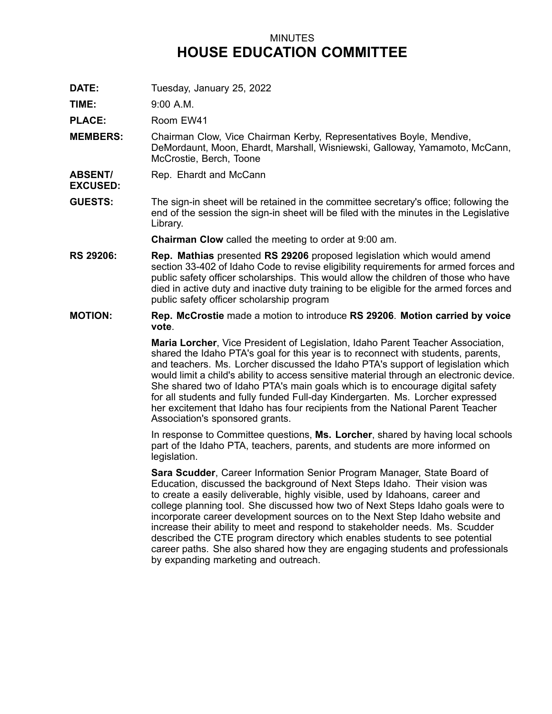## MINUTES **HOUSE EDUCATION COMMITTEE**

**DATE:** Tuesday, January 25, 2022

**TIME:** 9:00 A.M.

**EXCUSED:**

PLACE: Room EW41

- **MEMBERS:** Chairman Clow, Vice Chairman Kerby, Representatives Boyle, Mendive, DeMordaunt, Moon, Ehardt, Marshall, Wisniewski, Galloway, Yamamoto, McCann, McCrostie, Berch, Toone
- **ABSENT/** Rep. Ehardt and McCann
- **GUESTS:** The sign-in sheet will be retained in the committee secretary's office; following the end of the session the sign-in sheet will be filed with the minutes in the Legislative Library.

**Chairman Clow** called the meeting to order at 9:00 am.

- **RS 29206: Rep. Mathias** presented **RS 29206** proposed legislation which would amend section 33-402 of Idaho Code to revise eligibility requirements for armed forces and public safety officer scholarships. This would allow the children of those who have died in active duty and inactive duty training to be eligible for the armed forces and public safety officer scholarship program
- **MOTION: Rep. McCrostie** made <sup>a</sup> motion to introduce **RS 29206**. **Motion carried by voice vote**.

**Maria Lorcher**, Vice President of Legislation, Idaho Parent Teacher Association, shared the Idaho PTA's goal for this year is to reconnect with students, parents, and teachers. Ms. Lorcher discussed the Idaho PTA's support of legislation which would limit <sup>a</sup> child's ability to access sensitive material through an electronic device. She shared two of Idaho PTA's main goals which is to encourage digital safety for all students and fully funded Full-day Kindergarten. Ms. Lorcher expressed her excitement that Idaho has four recipients from the National Parent Teacher Association's sponsored grants.

In response to Committee questions, **Ms. Lorcher**, shared by having local schools part of the Idaho PTA, teachers, parents, and students are more informed on legislation.

**Sara Scudder**, Career Information Senior Program Manager, State Board of Education, discussed the background of Next Steps Idaho. Their vision was to create <sup>a</sup> easily deliverable, highly visible, used by Idahoans, career and college planning tool. She discussed how two of Next Steps Idaho goals were to incorporate career development sources on to the Next Step Idaho website and increase their ability to meet and respond to stakeholder needs. Ms. Scudder described the CTE program directory which enables students to see potential career paths. She also shared how they are engaging students and professionals by expanding marketing and outreach.